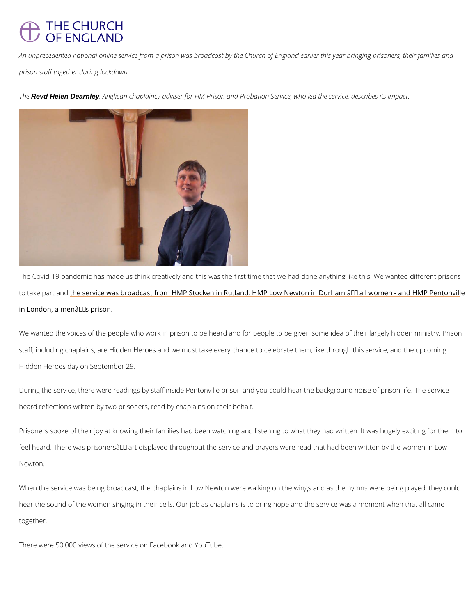## **THE CHURCH OF ENGLAND**

An unprecedented national online service from a prison was broadcast by the Church of Engl prison staff together during lockdown.

ThReevd Helen Dearnley , Anglican chaplaincy adviser for HM Prison and Probation Service, who led

The Covid-19 pandemic has made us think creatively and this was the first time that we had to take parthensdervice was broadcast from HMP Stocken in Rutland, HMP Low Newton in Durha [in London, a menâ](https://www.churchofengland.org/more/media-centre/news/first-online-prison-church-service-be-broadcast-church-england)€™s prison.

We wanted the voices of the people who work in prison to be heard and for people to be give staff, including chaplains, are Hidden Heroes and we must take every chance to celebrate th Hidden Heroes day on September 29.

During the service, there were readings by staff inside Pentonville prison and you could hear heard reflections written by two prisoners, read by chaplains on their behalf.

Prisoners spoke of their joy at knowing their families had been watching and listening to wha feel heard. There was prisoners  $\hat{\mathbf{a}} \in \mathbb{M}$  art displayed throughout the service and prayers were re

hear the sound of the women singing in their cells. Our job as chaplains is to bring hope and together.

When the service was being broadcast, the chaplains in Low Newton were walking on the win

There were 50,000 views of the service on Facebook and YouTube.